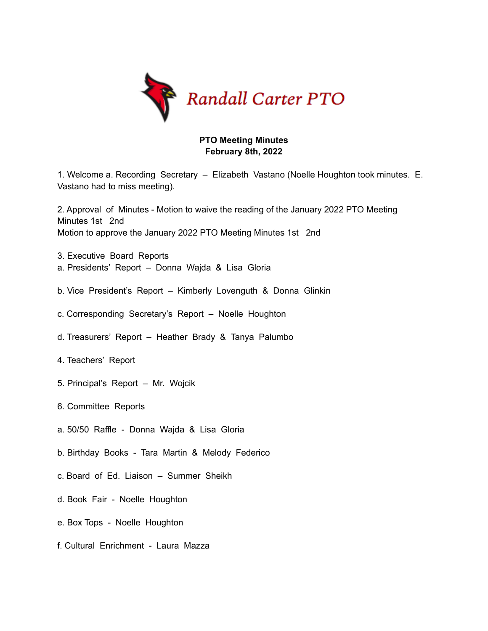

## **PTO Meeting Minutes February 8th, 2022**

1. Welcome a. Recording Secretary – Elizabeth Vastano (Noelle Houghton took minutes. E. Vastano had to miss meeting).

2. Approval of Minutes - Motion to waive the reading of the January 2022 PTO Meeting Minutes 1st 2nd Motion to approve the January 2022 PTO Meeting Minutes 1st 2nd

- 3. Executive Board Reports a. Presidents' Report – Donna Wajda & Lisa Gloria
- b. Vice President's Report Kimberly Lovenguth & Donna Glinkin
- c. Corresponding Secretary's Report Noelle Houghton
- d. Treasurers' Report Heather Brady & Tanya Palumbo
- 4. Teachers' Report
- 5. Principal's Report Mr. Wojcik
- 6. Committee Reports
- a. 50/50 Raffle Donna Wajda & Lisa Gloria
- b. Birthday Books Tara Martin & Melody Federico
- c. Board of Ed. Liaison Summer Sheikh
- d. Book Fair Noelle Houghton
- e. Box Tops Noelle Houghton
- f. Cultural Enrichment Laura Mazza